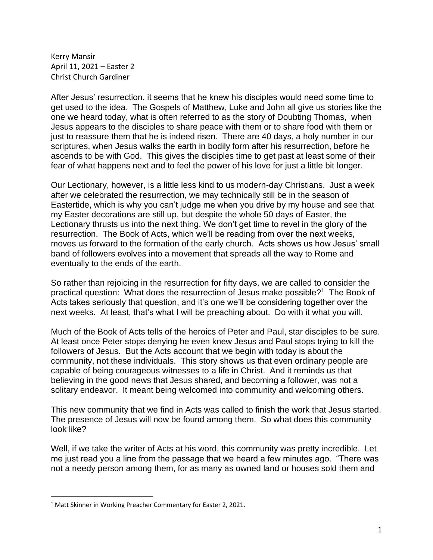Kerry Mansir April 11, 2021 – Easter 2 Christ Church Gardiner

After Jesus' resurrection, it seems that he knew his disciples would need some time to get used to the idea. The Gospels of Matthew, Luke and John all give us stories like the one we heard today, what is often referred to as the story of Doubting Thomas, when Jesus appears to the disciples to share peace with them or to share food with them or just to reassure them that he is indeed risen. There are 40 days, a holy number in our scriptures, when Jesus walks the earth in bodily form after his resurrection, before he ascends to be with God. This gives the disciples time to get past at least some of their fear of what happens next and to feel the power of his love for just a little bit longer.

Our Lectionary, however, is a little less kind to us modern-day Christians. Just a week after we celebrated the resurrection, we may technically still be in the season of Eastertide, which is why you can't judge me when you drive by my house and see that my Easter decorations are still up, but despite the whole 50 days of Easter, the Lectionary thrusts us into the next thing. We don't get time to revel in the glory of the resurrection. The Book of Acts, which we'll be reading from over the next weeks, moves us forward to the formation of the early church. Acts shows us how Jesus' small band of followers evolves into a movement that spreads all the way to Rome and eventually to the ends of the earth.

So rather than rejoicing in the resurrection for fifty days, we are called to consider the practical question: What does the resurrection of Jesus make possible?<sup>1</sup> The Book of Acts takes seriously that question, and it's one we'll be considering together over the next weeks. At least, that's what I will be preaching about. Do with it what you will.

Much of the Book of Acts tells of the heroics of Peter and Paul, star disciples to be sure. At least once Peter stops denying he even knew Jesus and Paul stops trying to kill the followers of Jesus. But the Acts account that we begin with today is about the community, not these individuals. This story shows us that even ordinary people are capable of being courageous witnesses to a life in Christ. And it reminds us that believing in the good news that Jesus shared, and becoming a follower, was not a solitary endeavor. It meant being welcomed into community and welcoming others.

This new community that we find in Acts was called to finish the work that Jesus started. The presence of Jesus will now be found among them. So what does this community look like?

Well, if we take the writer of Acts at his word, this community was pretty incredible. Let me just read you a line from the passage that we heard a few minutes ago. "There was not a needy person among them, for as many as owned land or houses sold them and

<sup>1</sup> Matt Skinner in Working Preacher Commentary for Easter 2, 2021.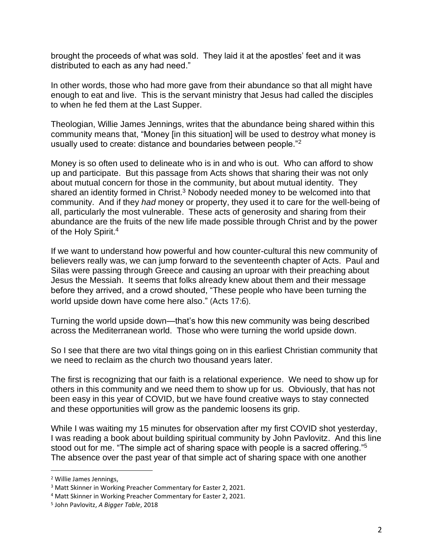brought the proceeds of what was sold. They laid it at the apostles' feet and it was distributed to each as any had need."

In other words, those who had more gave from their abundance so that all might have enough to eat and live. This is the servant ministry that Jesus had called the disciples to when he fed them at the Last Supper.

Theologian, Willie James Jennings, writes that the abundance being shared within this community means that, "Money [in this situation] will be used to destroy what money is usually used to create: distance and boundaries between people."<sup>2</sup>

Money is so often used to delineate who is in and who is out. Who can afford to show up and participate. But this passage from Acts shows that sharing their was not only about mutual concern for those in the community, but about mutual identity. They shared an identity formed in Christ.<sup>3</sup> Nobody needed money to be welcomed into that community. And if they *had* money or property, they used it to care for the well-being of all, particularly the most vulnerable. These acts of generosity and sharing from their abundance are the fruits of the new life made possible through Christ and by the power of the Holy Spirit.<sup>4</sup>

If we want to understand how powerful and how counter-cultural this new community of believers really was, we can jump forward to the seventeenth chapter of Acts. Paul and Silas were passing through Greece and causing an uproar with their preaching about Jesus the Messiah. It seems that folks already knew about them and their message before they arrived, and a crowd shouted, "These people who have been turning the world upside down have come here also." (Acts 17:6).

Turning the world upside down—that's how this new community was being described across the Mediterranean world. Those who were turning the world upside down.

So I see that there are two vital things going on in this earliest Christian community that we need to reclaim as the church two thousand years later.

The first is recognizing that our faith is a relational experience. We need to show up for others in this community and we need them to show up for us. Obviously, that has not been easy in this year of COVID, but we have found creative ways to stay connected and these opportunities will grow as the pandemic loosens its grip.

While I was waiting my 15 minutes for observation after my first COVID shot yesterday, I was reading a book about building spiritual community by John Pavlovitz. And this line stood out for me. "The simple act of sharing space with people is a sacred offering."<sup>5</sup> The absence over the past year of that simple act of sharing space with one another

<sup>2</sup> Willie James Jennings,

<sup>&</sup>lt;sup>3</sup> Matt Skinner in Working Preacher Commentary for Easter 2, 2021.

<sup>4</sup> Matt Skinner in Working Preacher Commentary for Easter 2, 2021.

<sup>5</sup> John Pavlovitz, *A Bigger Table*, 2018